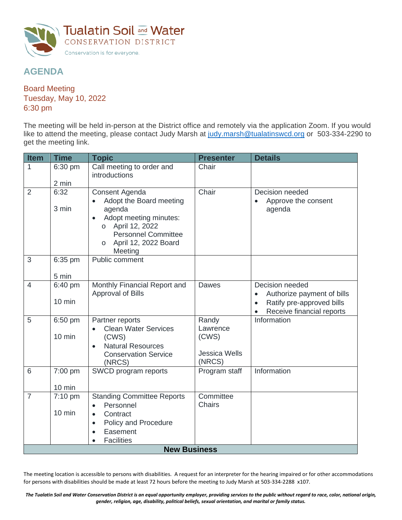

## **AGENDA**

Board Meeting Tuesday, May 10, 2022 6:30 pm

The meeting will be held in-person at the District office and remotely via the application Zoom. If you would like to attend the meeting, please contact Judy Marsh at [judy.marsh@tualatinswcd.org](mailto:judy.marsh@tualatinswcd.org) or 503-334-2290 to get the meeting link.

| <b>Item</b>         | <b>Time</b>       | <b>Topic</b>                                                         | <b>Presenter</b>           | <b>Details</b>                                                       |  |  |  |
|---------------------|-------------------|----------------------------------------------------------------------|----------------------------|----------------------------------------------------------------------|--|--|--|
| 1                   | 6:30 pm           | Call meeting to order and<br>introductions                           | Chair                      |                                                                      |  |  |  |
|                     | 2 min             |                                                                      |                            |                                                                      |  |  |  |
| $\overline{2}$      | 6:32              | Consent Agenda                                                       | Chair                      | Decision needed                                                      |  |  |  |
|                     | 3 min             | Adopt the Board meeting<br>agenda                                    |                            | Approve the consent<br>agenda                                        |  |  |  |
|                     |                   | Adopt meeting minutes:<br>$\bullet$                                  |                            |                                                                      |  |  |  |
|                     |                   | April 12, 2022<br>$\circ$                                            |                            |                                                                      |  |  |  |
|                     |                   | <b>Personnel Committee</b>                                           |                            |                                                                      |  |  |  |
|                     |                   | April 12, 2022 Board<br>$\circ$<br>Meeting                           |                            |                                                                      |  |  |  |
| 3                   | 6:35 pm           | Public comment                                                       |                            |                                                                      |  |  |  |
|                     |                   |                                                                      |                            |                                                                      |  |  |  |
|                     | 5 min             |                                                                      |                            |                                                                      |  |  |  |
| $\overline{4}$      | 6:40 pm           | Monthly Financial Report and                                         | <b>Dawes</b>               | Decision needed                                                      |  |  |  |
|                     | $10 \text{ min}$  | Approval of Bills                                                    |                            | Authorize payment of bills<br>Ratify pre-approved bills<br>$\bullet$ |  |  |  |
|                     |                   |                                                                      |                            | Receive financial reports<br>$\bullet$                               |  |  |  |
| 5                   | 6:50 pm           | Partner reports                                                      | Randy                      | Information                                                          |  |  |  |
|                     |                   | <b>Clean Water Services</b>                                          | Lawrence                   |                                                                      |  |  |  |
|                     | $10 \text{ min}$  | (CWS)                                                                | (CWS)                      |                                                                      |  |  |  |
|                     |                   | <b>Natural Resources</b><br>$\bullet$<br><b>Conservation Service</b> | <b>Jessica Wells</b>       |                                                                      |  |  |  |
|                     |                   | (NRCS)                                                               | (NRCS)                     |                                                                      |  |  |  |
| 6                   | 7:00 pm           | SWCD program reports                                                 | Program staff              | Information                                                          |  |  |  |
|                     |                   |                                                                      |                            |                                                                      |  |  |  |
|                     | $10 \text{ min}$  |                                                                      |                            |                                                                      |  |  |  |
| $\overline{7}$      | $7:10 \text{ pm}$ | <b>Standing Committee Reports</b><br>Personnel<br>$\bullet$          | Committee<br><b>Chairs</b> |                                                                      |  |  |  |
|                     | $10 \text{ min}$  | Contract<br>$\bullet$                                                |                            |                                                                      |  |  |  |
|                     |                   | Policy and Procedure<br>$\bullet$                                    |                            |                                                                      |  |  |  |
|                     |                   | Easement                                                             |                            |                                                                      |  |  |  |
|                     |                   | <b>Facilities</b>                                                    |                            |                                                                      |  |  |  |
| <b>New Business</b> |                   |                                                                      |                            |                                                                      |  |  |  |

The meeting location is accessible to persons with disabilities. A request for an interpreter for the hearing impaired or for other accommodations for persons with disabilities should be made at least 72 hours before the meeting to Judy Marsh at 503-334-2288 x107.

*The Tualatin Soil and Water Conservation District is an equal opportunity employer, providing services to the public without regard to race, color, national origin, gender, religion, age, disability, political beliefs, sexual orientation, and marital or family status.*